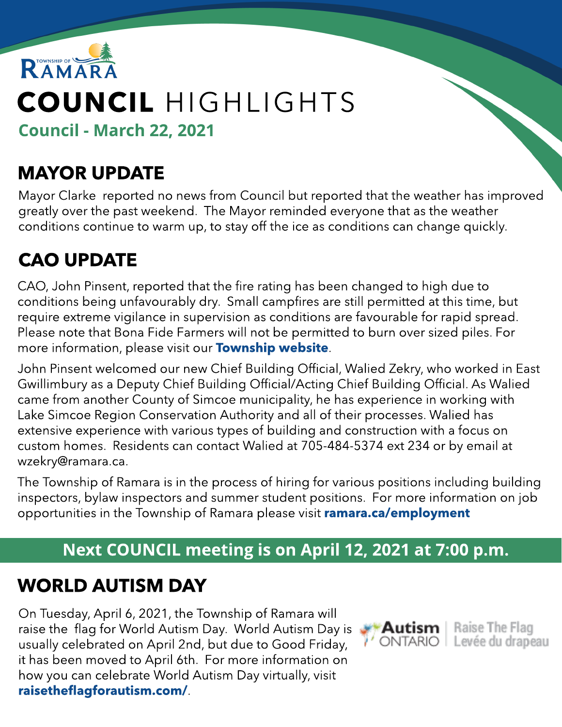

# COUNCIL HIGHLIGHTS

Council - March 22, 2021

# MAYOR UPDATE

Mayor Clarke reported no news from Council but reported that the weather has improved greatly over the past weekend. The Mayor reminded everyone that as the weather conditions continue to warm up, to stay off the ice as conditions can change quickly.

# CAO UPDATE

CAO, John Pinsent, reported that the fire rating has been changed to high due to conditions being unfavourably dry. Small campfires are still permitted at this time, but require extreme vigilance in supervision as conditions are favourable for rapid spread. Please note that Bona Fide Farmers will not be permitted to burn over sized piles. For more information, please visit our **Tow[nship](https://www.ramara.ca/en/living-here/fire-and-emergency-services.aspx) w[ebsite](https://www.ramara.ca/en/living-here/fire-and-emergency-services.aspx)**.

John Pinsent welcomed our new Chief Building Official, Walied Zekry, who worked in East Gwillimbury as a Deputy Chief Building Official/Acting Chief Building Official. As Walied came from another County of Simcoe municipality, he has experience in working with Lake Simcoe Region Conservation Authority and all of their processes. Walied has extensive experience with various types of building and construction with a focus on custom homes. Residents can contact Walied at 705-484-5374 ext 234 or by email at wzekry@ramara.ca.

The Township of Ramara is in the process of hiring for various positions including building inspectors, bylaw inspectors and summer student positions. For more information on job opportunities in the Township of Ramara please visit [ramara.ca/employment](http://ramara.ca/employment)

#### Next COUNCIL meeting is on April 12, 2021 at 7:00 p.m.

## WORLD AUTISM DAY

On Tuesday, April 6, 2021, the Township of Ramara will raise the flag for World Autism Day. World Autism Day is usually celebrated on April 2nd, but due to Good Friday, it has been moved to April 6th. For more information on how you can celebrate World Autism Day virtually, visit [raisetheflagforautism.com/](http://raisetheflagforautism.com/).